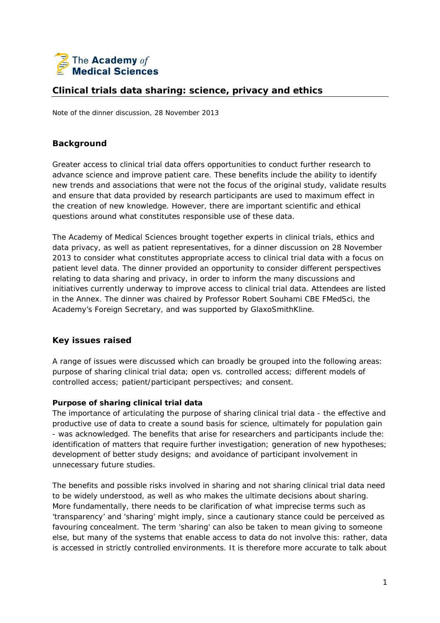

# **Clinical trials data sharing: science, privacy and ethics**

Note of the dinner discussion, 28 November 2013

## **Background**

Greater access to clinical trial data offers opportunities to conduct further research to advance science and improve patient care. These benefits include the ability to identify new trends and associations that were not the focus of the original study, validate results and ensure that data provided by research participants are used to maximum effect in the creation of new knowledge. However, there are important scientific and ethical questions around what constitutes responsible use of these data.

The Academy of Medical Sciences brought together experts in clinical trials, ethics and data privacy, as well as patient representatives, for a dinner discussion on 28 November 2013 to consider what constitutes appropriate access to clinical trial data with a focus on patient level data. The dinner provided an opportunity to consider different perspectives relating to data sharing and privacy, in order to inform the many discussions and initiatives currently underway to improve access to clinical trial data. Attendees are listed in the Annex. The dinner was chaired by Professor Robert Souhami CBE FMedSci, the Academy's Foreign Secretary, and was supported by GlaxoSmithKline.

## **Key issues raised**

A range of issues were discussed which can broadly be grouped into the following areas: purpose of sharing clinical trial data; open vs. controlled access; different models of controlled access; patient/participant perspectives; and consent.

## **Purpose of sharing clinical trial data**

The importance of articulating the purpose of sharing clinical trial data - the effective and productive use of data to create a sound basis for science, ultimately for population gain - was acknowledged. The benefits that arise for researchers and participants include the: identification of matters that require further investigation; generation of new hypotheses; development of better study designs; and avoidance of participant involvement in unnecessary future studies.

The benefits and possible risks involved in sharing and not sharing clinical trial data need to be widely understood, as well as who makes the ultimate decisions about sharing. More fundamentally, there needs to be clarification of what imprecise terms such as 'transparency' and 'sharing' might imply, since a cautionary stance could be perceived as favouring concealment. The term 'sharing' can also be taken to mean giving to someone else, but many of the systems that enable access to data do not involve this: rather, data is accessed in strictly controlled environments. It is therefore more accurate to talk about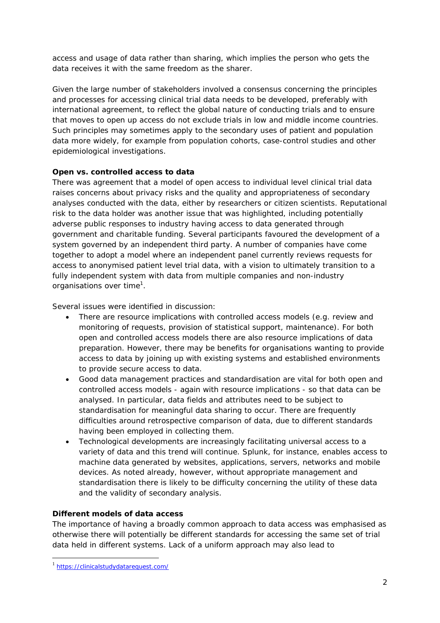access and usage of data rather than sharing, which implies the person who gets the data receives it with the same freedom as the sharer.

Given the large number of stakeholders involved a consensus concerning the principles and processes for accessing clinical trial data needs to be developed, preferably with international agreement, to reflect the global nature of conducting trials and to ensure that moves to open up access do not exclude trials in low and middle income countries. Such principles may sometimes apply to the secondary uses of patient and population data more widely, for example from population cohorts, case-control studies and other epidemiological investigations.

## **Open vs. controlled access to data**

There was agreement that a model of open access to individual level clinical trial data raises concerns about privacy risks and the quality and appropriateness of secondary analyses conducted with the data, either by researchers or citizen scientists. Reputational risk to the data holder was another issue that was highlighted, including potentially adverse public responses to industry having access to data generated through government and charitable funding. Several participants favoured the development of a system governed by an independent third party. A number of companies have come together to adopt a model where an independent panel currently reviews requests for access to anonymised patient level trial data, with a vision to ultimately transition to a fully independent system with data from multiple companies and non-industry organisations over time<sup>1</sup>.

Several issues were identified in discussion:

- There are resource implications with controlled access models (e.g. review and monitoring of requests, provision of statistical support, maintenance). For both open and controlled access models there are also resource implications of data preparation. However, there may be benefits for organisations wanting to provide access to data by joining up with existing systems and established environments to provide secure access to data.
- Good data management practices and standardisation are vital for both open and controlled access models - again with resource implications - so that data can be analysed. In particular, data fields and attributes need to be subject to standardisation for meaningful data sharing to occur. There are frequently difficulties around retrospective comparison of data, due to different standards having been employed in collecting them.
- Technological developments are increasingly facilitating universal access to a variety of data and this trend will continue. Splunk, for instance, enables access to machine data generated by websites, applications, servers, networks and mobile devices. As noted already, however, without appropriate management and standardisation there is likely to be difficulty concerning the utility of these data and the validity of secondary analysis.

## **Different models of data access**

The importance of having a broadly common approach to data access was emphasised as otherwise there will potentially be different standards for accessing the same set of trial data held in different systems. Lack of a uniform approach may also lead to

1

<sup>&</sup>lt;sup>1</sup> https://clinicalstudydatarequest.com/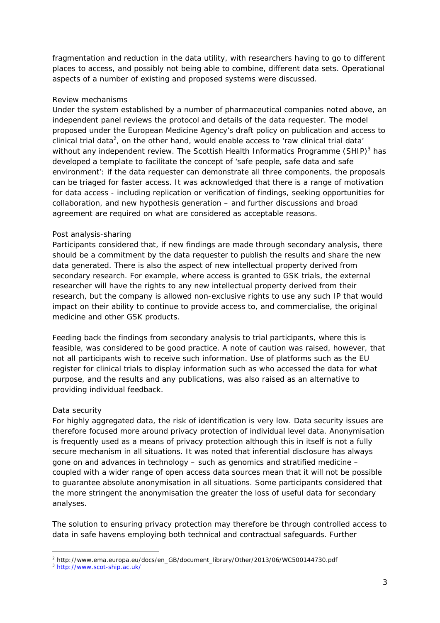fragmentation and reduction in the data utility, with researchers having to go to different places to access, and possibly not being able to combine, different data sets. Operational aspects of a number of existing and proposed systems were discussed.

#### *Review mechanisms*

Under the system established by a number of pharmaceutical companies noted above, an independent panel reviews the protocol and details of the data requester. The model proposed under the European Medicine Agency's draft policy on publication and access to clinical trial data<sup>2</sup>, on the other hand, would enable access to 'raw clinical trial data' without any independent review. The Scottish Health Informatics Programme (SHIP) $3$  has developed a template to facilitate the concept of 'safe people, safe data and safe environment': if the data requester can demonstrate all three components, the proposals can be triaged for faster access. It was acknowledged that there is a range of motivation for data access - including replication or verification of findings, seeking opportunities for collaboration, and new hypothesis generation – and further discussions and broad agreement are required on what are considered as acceptable reasons.

#### *Post analysis-sharing*

Participants considered that, if new findings are made through secondary analysis, there should be a commitment by the data requester to publish the results and share the new data generated. There is also the aspect of new intellectual property derived from secondary research. For example, where access is granted to GSK trials, the external researcher will have the rights to any new intellectual property derived from their research, but the company is allowed non-exclusive rights to use any such IP that would impact on their ability to continue to provide access to, and commercialise, the original medicine and other GSK products.

Feeding back the findings from secondary analysis to trial participants, where this is feasible, was considered to be good practice. A note of caution was raised, however, that not all participants wish to receive such information. Use of platforms such as the EU register for clinical trials to display information such as who accessed the data for what purpose, and the results and any publications, was also raised as an alternative to providing individual feedback.

## *Data security*

For highly aggregated data, the risk of identification is very low. Data security issues are therefore focused more around privacy protection of individual level data. Anonymisation is frequently used as a means of privacy protection although this in itself is not a fully secure mechanism in all situations. It was noted that inferential disclosure has always gone on and advances in technology – such as genomics and stratified medicine – coupled with a wider range of open access data sources mean that it will not be possible to guarantee absolute anonymisation in all situations. Some participants considered that the more stringent the anonymisation the greater the loss of useful data for secondary analyses.

The solution to ensuring privacy protection may therefore be through controlled access to data in safe havens employing both technical and contractual safeguards. Further

<sup>1</sup> 2 http://www.ema.europa.eu/docs/en\_GB/document\_library/Other/2013/06/WC500144730.pdf

<sup>3</sup> http://www.scot-ship.ac.uk/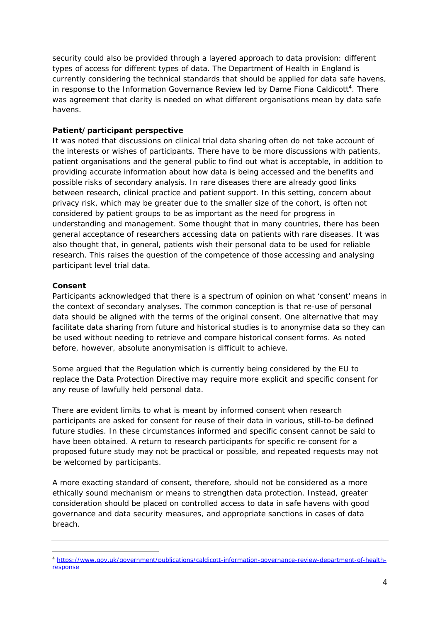security could also be provided through a layered approach to data provision: different types of access for different types of data. The Department of Health in England is currently considering the technical standards that should be applied for data safe havens, in response to the Information Governance Review led by Dame Fiona Caldicott<sup>4</sup>. There was agreement that clarity is needed on what different organisations mean by data safe havens.

#### **Patient/participant perspective**

It was noted that discussions on clinical trial data sharing often do not take account of the interests or wishes of participants. There have to be more discussions with patients, patient organisations and the general public to find out what is acceptable, in addition to providing accurate information about how data is being accessed and the benefits and possible risks of secondary analysis. In rare diseases there are already good links between research, clinical practice and patient support. In this setting, concern about privacy risk, which may be greater due to the smaller size of the cohort, is often not considered by patient groups to be as important as the need for progress in understanding and management. Some thought that in many countries, there has been general acceptance of researchers accessing data on patients with rare diseases. It was also thought that, in general, patients wish their personal data to be used for reliable research. This raises the question of the competence of those accessing and analysing participant level trial data.

#### **Consent**

Participants acknowledged that there is a spectrum of opinion on what 'consent' means in the context of secondary analyses. The common conception is that re-use of personal data should be aligned with the terms of the original consent. One alternative that may facilitate data sharing from future and historical studies is to anonymise data so they can be used without needing to retrieve and compare historical consent forms. As noted before, however, absolute anonymisation is difficult to achieve.

Some argued that the Regulation which is currently being considered by the EU to replace the Data Protection Directive may require more explicit and specific consent for any reuse of lawfully held personal data.

There are evident limits to what is meant by informed consent when research participants are asked for consent for reuse of their data in various, still-to-be defined future studies. In these circumstances informed and specific consent cannot be said to have been obtained. A return to research participants for specific re-consent for a proposed future study may not be practical or possible, and repeated requests may not be welcomed by participants.

A more exacting standard of consent, therefore, should not be considered as a more ethically sound mechanism or means to strengthen data protection. Instead, greater consideration should be placed on controlled access to data in safe havens with good governance and data security measures, and appropriate sanctions in cases of data breach.

<sup>1</sup> <sup>4</sup> https://www.gov.uk/government/publications/caldicott-information-governance-review-department-of-healthresponse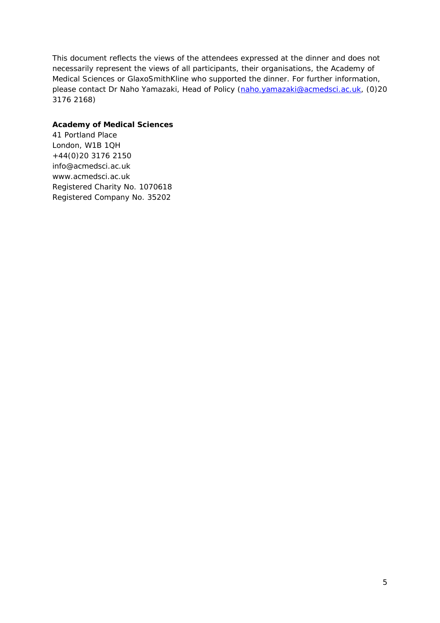This document reflects the views of the attendees expressed at the dinner and does not necessarily represent the views of all participants, their organisations, the Academy of Medical Sciences or GlaxoSmithKline who supported the dinner. For further information, please contact Dr Naho Yamazaki, Head of Policy (naho.yamazaki@acmedsci.ac.uk, (0)20 3176 2168)

#### **Academy of Medical Sciences**

41 Portland Place London, W1B 1QH +44(0)20 3176 2150 info@acmedsci.ac.uk www.acmedsci.ac.uk Registered Charity No. 1070618 Registered Company No. 35202